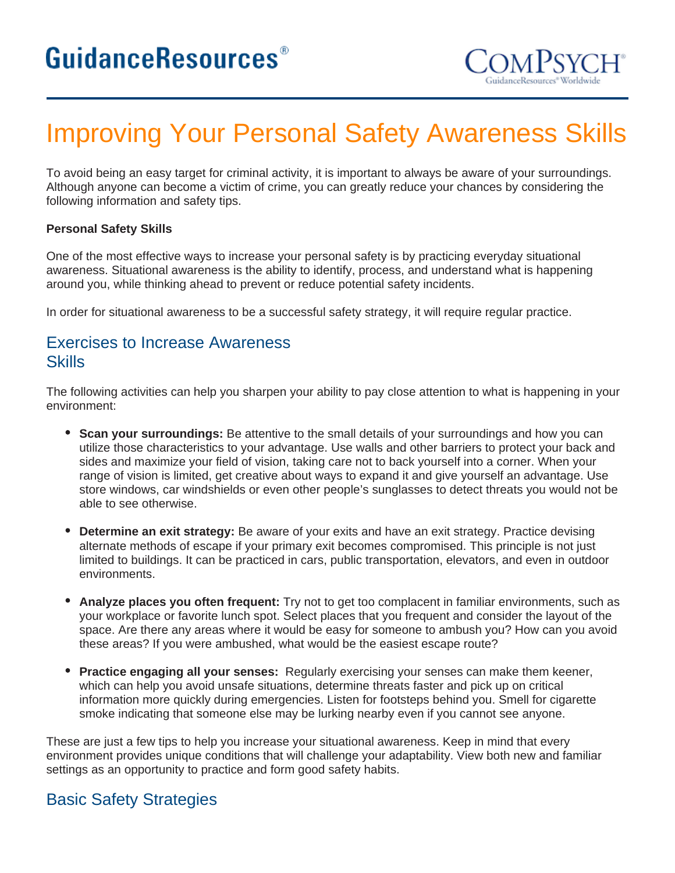

# Improving Your Personal Safety Awareness Skills

To avoid being an easy target for criminal activity, it is important to always be aware of your surroundings. Although anyone can become a victim of crime, you can greatly reduce your chances by considering the following information and safety tips.

#### **Personal Safety Skills**

One of the most effective ways to increase your personal safety is by practicing everyday situational awareness. Situational awareness is the ability to identify, process, and understand what is happening around you, while thinking ahead to prevent or reduce potential safety incidents.

In order for situational awareness to be a successful safety strategy, it will require regular practice.

## Exercises to Increase Awareness **Skills**

The following activities can help you sharpen your ability to pay close attention to what is happening in your environment:

- **Scan your surroundings:** Be attentive to the small details of your surroundings and how you can utilize those characteristics to your advantage. Use walls and other barriers to protect your back and sides and maximize your field of vision, taking care not to back yourself into a corner. When your range of vision is limited, get creative about ways to expand it and give yourself an advantage. Use store windows, car windshields or even other people's sunglasses to detect threats you would not be able to see otherwise.
- **Determine an exit strategy:** Be aware of your exits and have an exit strategy. Practice devising  $\bullet$ alternate methods of escape if your primary exit becomes compromised. This principle is not just limited to buildings. It can be practiced in cars, public transportation, elevators, and even in outdoor environments.
- **Analyze places you often frequent:** Try not to get too complacent in familiar environments, such as your workplace or favorite lunch spot. Select places that you frequent and consider the layout of the space. Are there any areas where it would be easy for someone to ambush you? How can you avoid these areas? If you were ambushed, what would be the easiest escape route?
- **Practice engaging all your senses:** Regularly exercising your senses can make them keener, which can help you avoid unsafe situations, determine threats faster and pick up on critical information more quickly during emergencies. Listen for footsteps behind you. Smell for cigarette smoke indicating that someone else may be lurking nearby even if you cannot see anyone.

These are just a few tips to help you increase your situational awareness. Keep in mind that every environment provides unique conditions that will challenge your adaptability. View both new and familiar settings as an opportunity to practice and form good safety habits.

## Basic Safety Strategies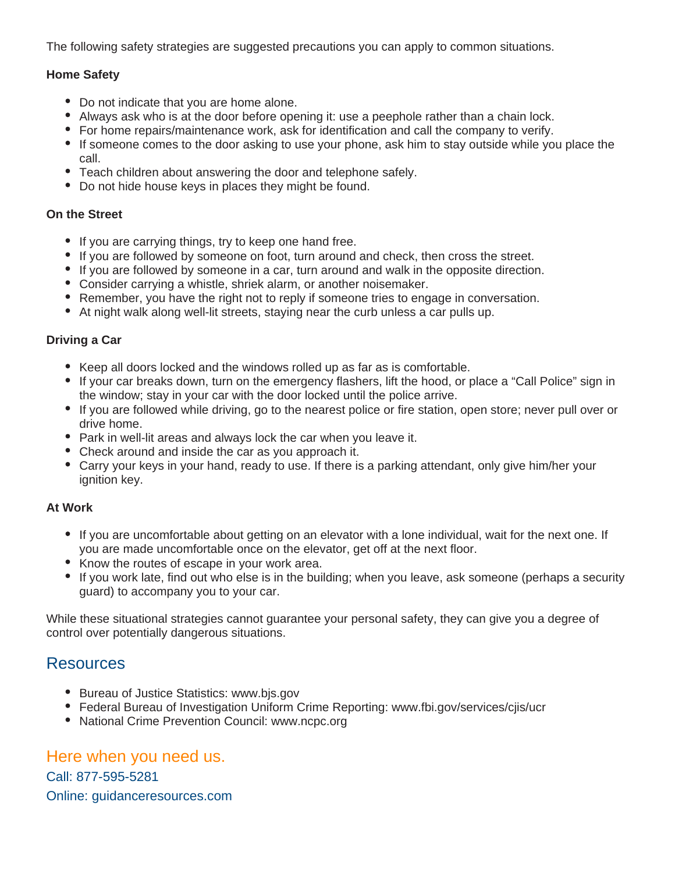The following safety strategies are suggested precautions you can apply to common situations.

#### **Home Safety**

- Do not indicate that you are home alone.
- Always ask who is at the door before opening it: use a peephole rather than a chain lock.
- For home repairs/maintenance work, ask for identification and call the company to verify.
- If someone comes to the door asking to use your phone, ask him to stay outside while you place the call.
- Teach children about answering the door and telephone safely.
- Do not hide house keys in places they might be found.

#### **On the Street**

- If you are carrying things, try to keep one hand free.
- If you are followed by someone on foot, turn around and check, then cross the street.
- If you are followed by someone in a car, turn around and walk in the opposite direction.
- Consider carrying a whistle, shriek alarm, or another noisemaker.
- Remember, you have the right not to reply if someone tries to engage in conversation.
- At night walk along well-lit streets, staying near the curb unless a car pulls up.

#### **Driving a Car**

- Keep all doors locked and the windows rolled up as far as is comfortable.
- If your car breaks down, turn on the emergency flashers, lift the hood, or place a "Call Police" sign in the window; stay in your car with the door locked until the police arrive.
- If you are followed while driving, go to the nearest police or fire station, open store; never pull over or drive home.
- Park in well-lit areas and always lock the car when you leave it.
- Check around and inside the car as you approach it.
- Carry your keys in your hand, ready to use. If there is a parking attendant, only give him/her your ignition key.

#### **At Work**

- If you are uncomfortable about getting on an elevator with a lone individual, wait for the next one. If you are made uncomfortable once on the elevator, get off at the next floor.
- Know the routes of escape in your work area.
- If you work late, find out who else is in the building; when you leave, ask someone (perhaps a security guard) to accompany you to your car.

While these situational strategies cannot guarantee your personal safety, they can give you a degree of control over potentially dangerous situations.

### **Resources**

- Bureau of Justice Statistics: www.bis.gov
- Federal Bureau of Investigation Uniform Crime Reporting: www.fbi.gov/services/cjis/ucr
- National Crime Prevention Council: www.ncpc.org

## Here when you need us.

Call: 877-595-5281 Online: guidanceresources.com